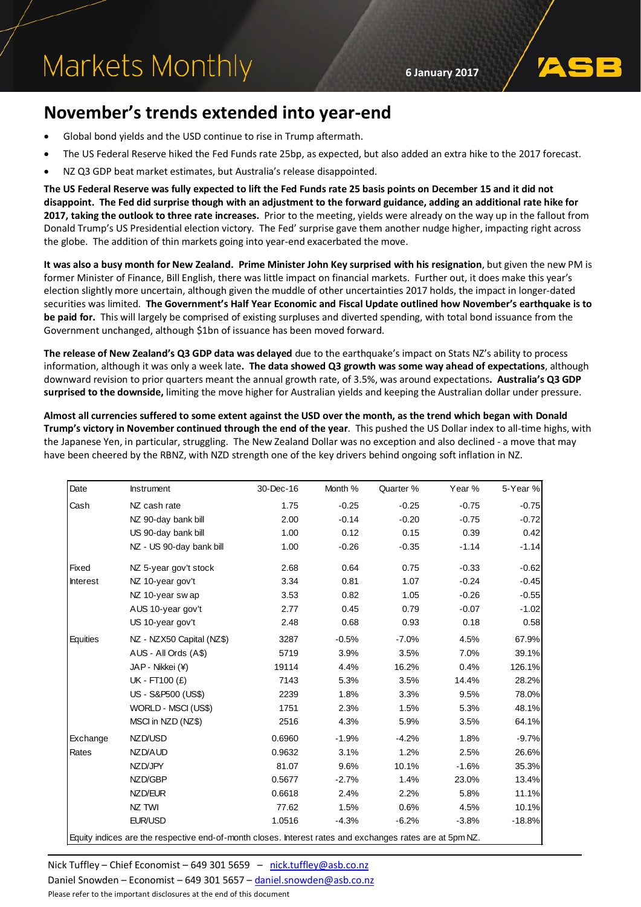# Markets Monthly

**6 January 2017**

## **November's trends extended into year-end**

- Global bond yields and the USD continue to rise in Trump aftermath.
- The US Federal Reserve hiked the Fed Funds rate 25bp, as expected, but also added an extra hike to the 2017 forecast.
- NZ Q3 GDP beat market estimates, but Australia's release disappointed.

**The US Federal Reserve was fully expected to lift the Fed Funds rate 25 basis points on December 15 and it did not disappoint. The Fed did surprise though with an adjustment to the forward guidance, adding an additional rate hike for 2017, taking the outlook to three rate increases.** Prior to the meeting, yields were already on the way up in the fallout from Donald Trump's US Presidential election victory. The Fed' surprise gave them another nudge higher, impacting right across the globe. The addition of thin markets going into year-end exacerbated the move.

**It was also a busy month for New Zealand. Prime Minister John Key surprised with his resignation**, but given the new PM is former Minister of Finance, Bill English, there was little impact on financial markets. Further out, it does make this year's election slightly more uncertain, although given the muddle of other uncertainties 2017 holds, the impact in longer-dated securities was limited. **The Government's Half Year Economic and Fiscal Update outlined how November's earthquake is to be paid for.** This will largely be comprised of existing surpluses and diverted spending, with total bond issuance from the Government unchanged, although \$1bn of issuance has been moved forward.

**The release of New Zealand's Q3 GDP data was delayed** due to the earthquake's impact on Stats NZ's ability to process information, although it was only a week late**. The data showed Q3 growth was some way ahead of expectations**, although downward revision to prior quarters meant the annual growth rate, of 3.5%, was around expectations**. Australia's Q3 GDP surprised to the downside,** limiting the move higher for Australian yields and keeping the Australian dollar under pressure.

**Almost all currencies suffered to some extent against the USD over the month, as the trend which began with Donald Trump's victory in November continued through the end of the year**. This pushed the US Dollar index to all-time highs, with the Japanese Yen, in particular, struggling. The New Zealand Dollar was no exception and also declined - a move that may have been cheered by the RBNZ, with NZD strength one of the key drivers behind ongoing soft inflation in NZ.

| Date            | <b>Instrument</b>                                                                                        | 30-Dec-16 | Month % | Quarter % | Year %  | 5-Year % |
|-----------------|----------------------------------------------------------------------------------------------------------|-----------|---------|-----------|---------|----------|
| Cash            | NZ cash rate                                                                                             | 1.75      | $-0.25$ | $-0.25$   | $-0.75$ | $-0.75$  |
|                 | NZ 90-day bank bill                                                                                      | 2.00      | $-0.14$ | $-0.20$   | $-0.75$ | $-0.72$  |
|                 | US 90-day bank bill                                                                                      | 1.00      | 0.12    | 0.15      | 0.39    | 0.42     |
|                 | NZ - US 90-day bank bill                                                                                 | 1.00      | $-0.26$ | $-0.35$   | $-1.14$ | $-1.14$  |
| Fixed           | NZ 5-year gov't stock                                                                                    | 2.68      | 0.64    | 0.75      | $-0.33$ | $-0.62$  |
| <b>Interest</b> | NZ 10-year gov't                                                                                         | 3.34      | 0.81    | 1.07      | $-0.24$ | $-0.45$  |
|                 | NZ 10-year swap                                                                                          | 3.53      | 0.82    | 1.05      | $-0.26$ | $-0.55$  |
|                 | AUS 10-year gov't                                                                                        | 2.77      | 0.45    | 0.79      | $-0.07$ | $-1.02$  |
|                 | US 10-year gov't                                                                                         | 2.48      | 0.68    | 0.93      | 0.18    | 0.58     |
| Equities        | NZ - NZX50 Capital (NZ\$)                                                                                | 3287      | $-0.5%$ | $-7.0%$   | 4.5%    | 67.9%    |
|                 | AUS - All Ords (A\$)                                                                                     | 5719      | 3.9%    | 3.5%      | 7.0%    | 39.1%    |
|                 | JAP - Nikkei (¥)                                                                                         | 19114     | 4.4%    | 16.2%     | 0.4%    | 126.1%   |
|                 | UK - FT100 (£)                                                                                           | 7143      | 5.3%    | 3.5%      | 14.4%   | 28.2%    |
|                 | US - S&P500 (US\$)                                                                                       | 2239      | 1.8%    | 3.3%      | 9.5%    | 78.0%    |
|                 | WORLD - MSCI (US\$)                                                                                      | 1751      | 2.3%    | 1.5%      | 5.3%    | 48.1%    |
|                 | MSCI in NZD (NZ\$)                                                                                       | 2516      | 4.3%    | 5.9%      | 3.5%    | 64.1%    |
| Exchange        | NZD/USD                                                                                                  | 0.6960    | $-1.9%$ | $-4.2%$   | 1.8%    | $-9.7%$  |
| Rates           | NZD/AUD                                                                                                  | 0.9632    | 3.1%    | 1.2%      | 2.5%    | 26.6%    |
|                 | NZD/JPY                                                                                                  | 81.07     | 9.6%    | 10.1%     | $-1.6%$ | 35.3%    |
|                 | NZD/GBP                                                                                                  | 0.5677    | $-2.7%$ | 1.4%      | 23.0%   | 13.4%    |
|                 | NZD/EUR                                                                                                  | 0.6618    | 2.4%    | 2.2%      | 5.8%    | 11.1%    |
|                 | NZ TWI                                                                                                   | 77.62     | 1.5%    | 0.6%      | 4.5%    | 10.1%    |
|                 | EUR/USD                                                                                                  | 1.0516    | $-4.3%$ | $-6.2%$   | $-3.8%$ | $-18.8%$ |
|                 | Equity indices are the respective end-of-month closes. Interest rates and exchanges rates are at 5pm NZ. |           |         |           |         |          |

Nick Tuffley – Chief Economist – 649 301 5659 – [nick.tuffley@asb.co.nz](mailto:nick.tuffley@asb.co.nz)

Daniel Snowden – Economist – 649 301 5657 – [daniel.snowden@asb.co.nz](mailto:daniel.snowden@asb.co.nz) Please refer to the important disclosures at the end of this document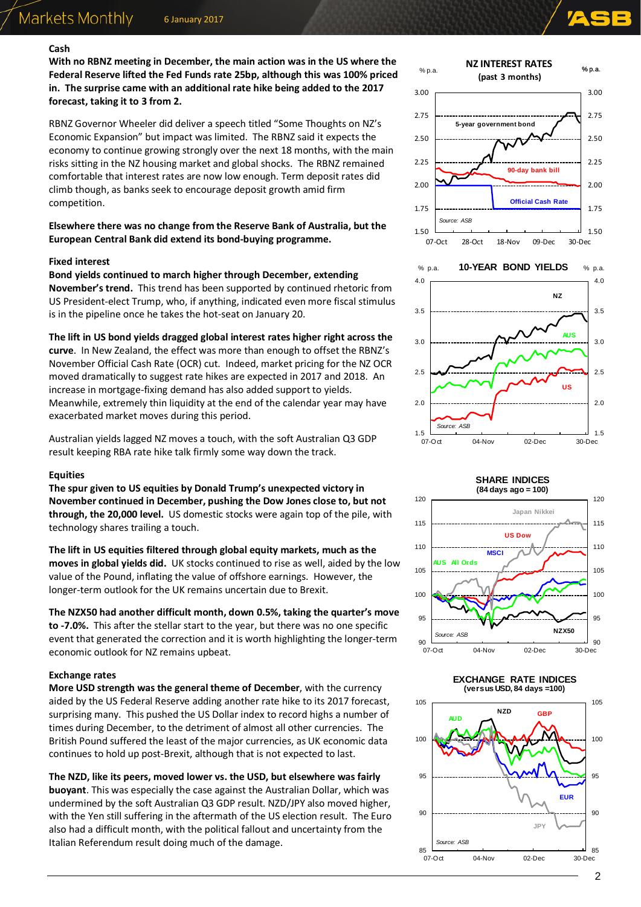#### **Cash**

**With no RBNZ meeting in December, the main action was in the US where the Federal Reserve lifted the Fed Funds rate 25bp, although this was 100% priced in. The surprise came with an additional rate hike being added to the 2017 forecast, taking it to 3 from 2.**

RBNZ Governor Wheeler did deliver a speech titled "Some Thoughts on NZ's Economic Expansion" but impact was limited. The RBNZ said it expects the economy to continue growing strongly over the next 18 months, with the main risks sitting in the NZ housing market and global shocks. The RBNZ remained comfortable that interest rates are now low enough. Term deposit rates did climb though, as banks seek to encourage deposit growth amid firm competition.

#### **Elsewhere there was no change from the Reserve Bank of Australia, but the European Central Bank did extend its bond-buying programme.**

#### **Fixed interest**

**Bond yields continued to march higher through December, extending November's trend.** This trend has been supported by continued rhetoric from US President-elect Trump, who, if anything, indicated even more fiscal stimulus is in the pipeline once he takes the hot-seat on January 20.

**The lift in US bond yields dragged global interest rates higher right across the curve**. In New Zealand, the effect was more than enough to offset the RBNZ's November Official Cash Rate (OCR) cut. Indeed, market pricing for the NZ OCR moved dramatically to suggest rate hikes are expected in 2017 and 2018. An increase in mortgage-fixing demand has also added support to yields. Meanwhile, extremely thin liquidity at the end of the calendar year may have exacerbated market moves during this period.

Australian yields lagged NZ moves a touch, with the soft Australian Q3 GDP result keeping RBA rate hike talk firmly some way down the track.

#### **Equities**

**The spur given to US equities by Donald Trump's unexpected victory in November continued in December, pushing the Dow Jones close to, but not through, the 20,000 level.** US domestic stocks were again top of the pile, with technology shares trailing a touch.

**The lift in US equities filtered through global equity markets, much as the moves in global yields did.** UK stocks continued to rise as well, aided by the low value of the Pound, inflating the value of offshore earnings. However, the longer-term outlook for the UK remains uncertain due to Brexit.

**The NZX50 had another difficult month, down 0.5%, taking the quarter's move to -7.0%.** This after the stellar start to the year, but there was no one specific event that generated the correction and it is worth highlighting the longer-term economic outlook for NZ remains upbeat.

#### **Exchange rates**

**More USD strength was the general theme of December**, with the currency aided by the US Federal Reserve adding another rate hike to its 2017 forecast, surprising many. This pushed the US Dollar index to record highs a number of times during December, to the detriment of almost all other currencies. The British Pound suffered the least of the major currencies, as UK economic data continues to hold up post-Brexit, although that is not expected to last.

**The NZD, like its peers, moved lower vs. the USD, but elsewhere was fairly buoyant**. This was especially the case against the Australian Dollar, which was undermined by the soft Australian Q3 GDP result. NZD/JPY also moved higher, with the Yen still suffering in the aftermath of the US election result. The Euro also had a difficult month, with the political fallout and uncertainty from the Italian Referendum result doing much of the damage.



#### **SHARE INDICES**